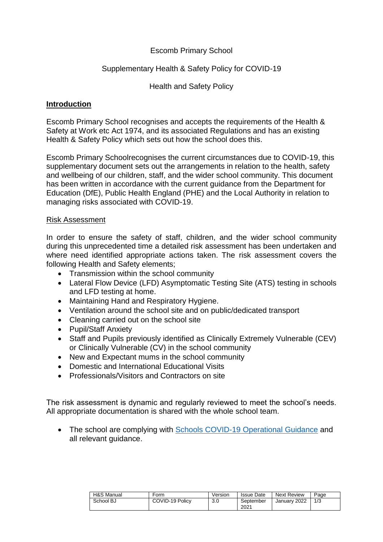### Escomb Primary School

#### Supplementary Health & Safety Policy for COVID-19

Health and Safety Policy

### **Introduction**

Escomb Primary School recognises and accepts the requirements of the Health & Safety at Work etc Act 1974, and its associated Regulations and has an existing Health & Safety Policy which sets out how the school does this.

Escomb Primary Schoolrecognises the current circumstances due to COVID-19, this supplementary document sets out the arrangements in relation to the health, safety and wellbeing of our children, staff, and the wider school community. This document has been written in accordance with the current guidance from the Department for Education (DfE), Public Health England (PHE) and the Local Authority in relation to managing risks associated with COVID-19.

#### Risk Assessment

In order to ensure the safety of staff, children, and the wider school community during this unprecedented time a detailed risk assessment has been undertaken and where need identified appropriate actions taken. The risk assessment covers the following Health and Safety elements;

- Transmission within the school community
- Lateral Flow Device (LFD) Asymptomatic Testing Site (ATS) testing in schools and LFD testing at home.
- Maintaining Hand and Respiratory Hygiene.
- Ventilation around the school site and on public/dedicated transport
- Cleaning carried out on the school site
- Pupil/Staff Anxiety
- Staff and Pupils previously identified as Clinically Extremely Vulnerable (CEV) or Clinically Vulnerable (CV) in the school community
- New and Expectant mums in the school community
- Domestic and International Educational Visits
- Professionals/Visitors and Contractors on site

The risk assessment is dynamic and regularly reviewed to meet the school's needs. All appropriate documentation is shared with the whole school team.

• The school are complying with [Schools COVID-19 Operational Guidance](https://www.gov.uk/government/publications/actions-for-schools-during-the-coronavirus-outbreak/schools-covid-19-operational-guidance) and all relevant guidance.

| <b>H&amp;S Manual</b> | Form            | Version | <b>Issue Date</b> | <b>Next Review</b> | Page |
|-----------------------|-----------------|---------|-------------------|--------------------|------|
| School BJ             | COVID-19 Policy | 3.0     | September<br>2021 | January 2022       | 1/3  |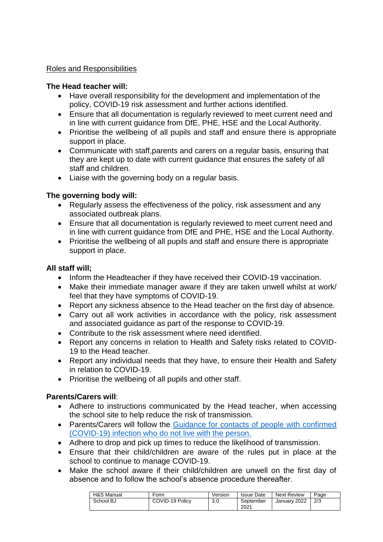### Roles and Responsibilities

### **The Head teacher will:**

- Have overall responsibility for the development and implementation of the policy, COVID-19 risk assessment and further actions identified.
- Ensure that all documentation is regularly reviewed to meet current need and in line with current guidance from DfE, PHE, HSE and the Local Authority.
- Prioritise the wellbeing of all pupils and staff and ensure there is appropriate support in place.
- Communicate with staff,parents and carers on a regular basis, ensuring that they are kept up to date with current guidance that ensures the safety of all staff and children.
- Liaise with the governing body on a regular basis.

## **The governing body will:**

- Regularly assess the effectiveness of the policy, risk assessment and any associated outbreak plans.
- Ensure that all documentation is regularly reviewed to meet current need and in line with current guidance from DfE and PHE, HSE and the Local Authority.
- Prioritise the wellbeing of all pupils and staff and ensure there is appropriate support in place.

# **All staff will;**

- Inform the Headteacher if they have received their COVID-19 vaccination.
- Make their immediate manager aware if they are taken unwell whilst at work/ feel that they have symptoms of COVID-19.
- Report any sickness absence to the Head teacher on the first day of absence.
- Carry out all work activities in accordance with the policy, risk assessment and associated guidance as part of the response to COVID-19.
- Contribute to the risk assessment where need identified.
- Report any concerns in relation to Health and Safety risks related to COVID-19 to the Head teacher.
- Report any individual needs that they have, to ensure their Health and Safety in relation to COVID-19.
- Prioritise the wellbeing of all pupils and other staff.

## **Parents/Carers will**:

- Adhere to instructions communicated by the Head teacher, when accessing the school site to help reduce the risk of transmission.
- Parents/Carers will follow the Guidance for contacts of people with confirmed [\(COVID-19\) infection who do not live with the person.](https://www.gov.uk/government/publications/guidance-for-contacts-of-people-with-possible-or-confirmed-coronavirus-covid-19-infection-who-do-not-live-with-the-person/guidance-for-contacts-of-people-with-possible-or-confirmed-coronavirus-covid-19-infection-who-do-not-live-with-the-person#exempt)
- Adhere to drop and pick up times to reduce the likelihood of transmission.
- Ensure that their child/children are aware of the rules put in place at the school to continue to manage COVID-19.
- Make the school aware if their child/children are unwell on the first day of absence and to follow the school's absence procedure thereafter.

| H&S Manual | Form            | Version | <b>Issue Date</b> | <b>Next Review</b> | Page |
|------------|-----------------|---------|-------------------|--------------------|------|
| School BJ  | COVID-19 Policy | 3.0     | September<br>2021 | January 2022       | 2/3  |